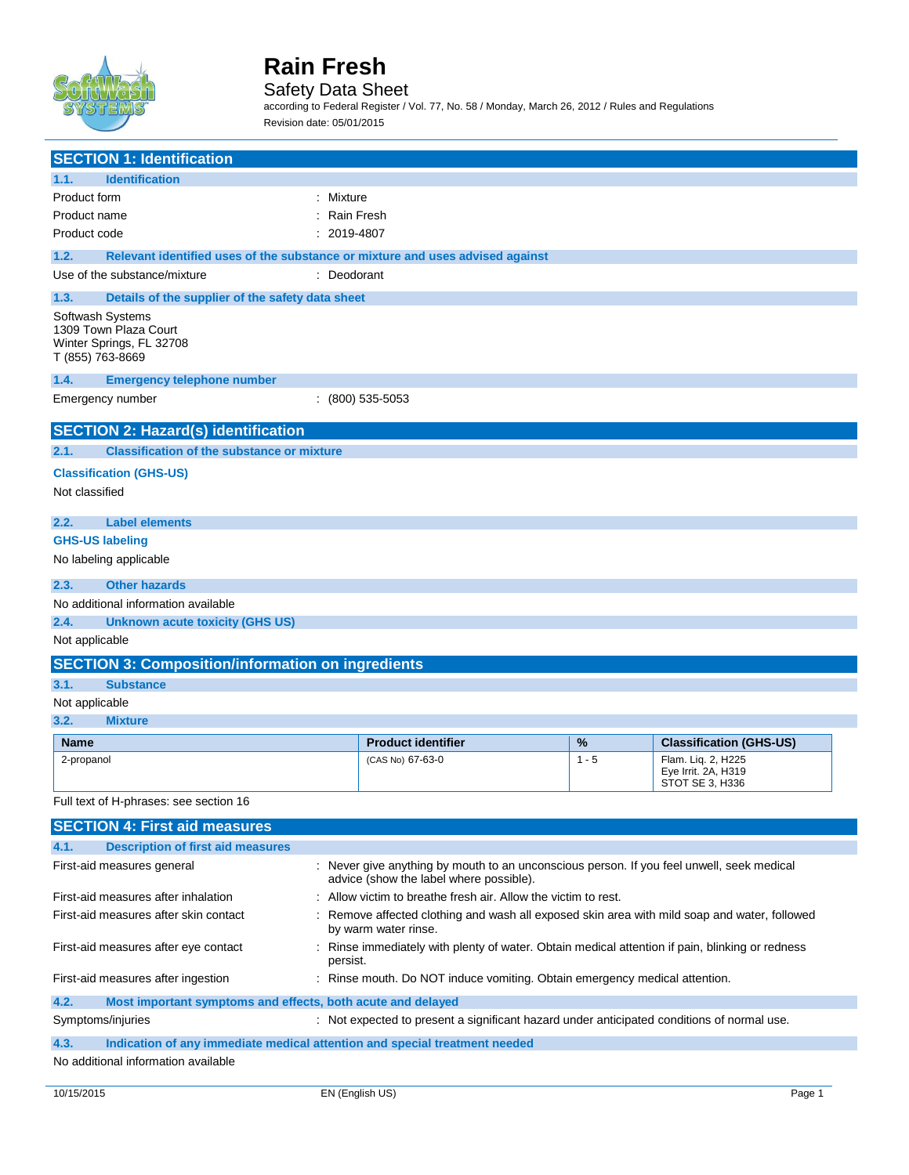

### Safety Data Sheet

according to Federal Register / Vol. 77, No. 58 / Monday, March 26, 2012 / Rules and Regulations Revision date: 05/01/2015

|                                      | <b>SECTION 1: Identification</b>                                                                                 |                 |                                                                                                                                      |         |                                                              |  |
|--------------------------------------|------------------------------------------------------------------------------------------------------------------|-----------------|--------------------------------------------------------------------------------------------------------------------------------------|---------|--------------------------------------------------------------|--|
| 1.1.                                 | <b>Identification</b>                                                                                            |                 |                                                                                                                                      |         |                                                              |  |
| Product form                         |                                                                                                                  | : Mixture       |                                                                                                                                      |         |                                                              |  |
| Product name                         |                                                                                                                  | Rain Fresh      |                                                                                                                                      |         |                                                              |  |
| Product code                         |                                                                                                                  | $: 2019 - 4807$ |                                                                                                                                      |         |                                                              |  |
| 1.2.                                 | Relevant identified uses of the substance or mixture and uses advised against                                    |                 |                                                                                                                                      |         |                                                              |  |
|                                      | Use of the substance/mixture                                                                                     | : Deodorant     |                                                                                                                                      |         |                                                              |  |
| 1.3.                                 | Details of the supplier of the safety data sheet                                                                 |                 |                                                                                                                                      |         |                                                              |  |
| Softwash Systems<br>T (855) 763-8669 | 1309 Town Plaza Court<br>Winter Springs, FL 32708                                                                |                 |                                                                                                                                      |         |                                                              |  |
| 1.4.                                 | <b>Emergency telephone number</b>                                                                                |                 |                                                                                                                                      |         |                                                              |  |
| Emergency number                     |                                                                                                                  |                 | $(800)$ 535-5053                                                                                                                     |         |                                                              |  |
|                                      | <b>SECTION 2: Hazard(s) identification</b>                                                                       |                 |                                                                                                                                      |         |                                                              |  |
| 2.1.                                 | <b>Classification of the substance or mixture</b>                                                                |                 |                                                                                                                                      |         |                                                              |  |
|                                      | <b>Classification (GHS-US)</b>                                                                                   |                 |                                                                                                                                      |         |                                                              |  |
| Not classified                       |                                                                                                                  |                 |                                                                                                                                      |         |                                                              |  |
| 2.2.                                 | <b>Label elements</b>                                                                                            |                 |                                                                                                                                      |         |                                                              |  |
| <b>GHS-US labeling</b>               |                                                                                                                  |                 |                                                                                                                                      |         |                                                              |  |
|                                      | No labeling applicable                                                                                           |                 |                                                                                                                                      |         |                                                              |  |
| 2.3.                                 | <b>Other hazards</b>                                                                                             |                 |                                                                                                                                      |         |                                                              |  |
|                                      | No additional information available                                                                              |                 |                                                                                                                                      |         |                                                              |  |
| 2.4.                                 | <b>Unknown acute toxicity (GHS US)</b>                                                                           |                 |                                                                                                                                      |         |                                                              |  |
| Not applicable                       |                                                                                                                  |                 |                                                                                                                                      |         |                                                              |  |
|                                      | <b>SECTION 3: Composition/information on ingredients</b>                                                         |                 |                                                                                                                                      |         |                                                              |  |
| 3.1.                                 | <b>Substance</b>                                                                                                 |                 |                                                                                                                                      |         |                                                              |  |
| Not applicable                       |                                                                                                                  |                 |                                                                                                                                      |         |                                                              |  |
| 3.2.                                 | <b>Mixture</b>                                                                                                   |                 |                                                                                                                                      |         |                                                              |  |
| Name                                 |                                                                                                                  |                 | <b>Product identifier</b>                                                                                                            | %       | <b>Classification (GHS-US)</b>                               |  |
| 2-propanol                           |                                                                                                                  |                 | (CAS No) 67-63-0                                                                                                                     | $1 - 5$ | Flam. Liq. 2, H225<br>Eye Irrit. 2A, H319<br>STOT SE 3, H336 |  |
|                                      | Full text of H-phrases: see section 16                                                                           |                 |                                                                                                                                      |         |                                                              |  |
|                                      | <b>SECTION 4: First aid measures</b>                                                                             |                 |                                                                                                                                      |         |                                                              |  |
| 4.1.                                 | <b>Description of first aid measures</b>                                                                         |                 |                                                                                                                                      |         |                                                              |  |
|                                      | First-aid measures general                                                                                       |                 | : Never give anything by mouth to an unconscious person. If you feel unwell, seek medical<br>advice (show the label where possible). |         |                                                              |  |
|                                      | First-aid measures after inhalation                                                                              |                 | : Allow victim to breathe fresh air. Allow the victim to rest.                                                                       |         |                                                              |  |
|                                      | First-aid measures after skin contact                                                                            |                 | Remove affected clothing and wash all exposed skin area with mild soap and water, followed<br>by warm water rinse.                   |         |                                                              |  |
|                                      | First-aid measures after eye contact                                                                             | persist.        | : Rinse immediately with plenty of water. Obtain medical attention if pain, blinking or redness                                      |         |                                                              |  |
|                                      | First-aid measures after ingestion<br>: Rinse mouth. Do NOT induce vomiting. Obtain emergency medical attention. |                 |                                                                                                                                      |         |                                                              |  |
| 4.2.                                 | Most important symptoms and effects, both acute and delayed                                                      |                 |                                                                                                                                      |         |                                                              |  |
| Symptoms/injuries                    |                                                                                                                  |                 | : Not expected to present a significant hazard under anticipated conditions of normal use.                                           |         |                                                              |  |
| 4.3.                                 | Indication of any immediate medical attention and special treatment needed                                       |                 |                                                                                                                                      |         |                                                              |  |
|                                      | No additional information available                                                                              |                 |                                                                                                                                      |         |                                                              |  |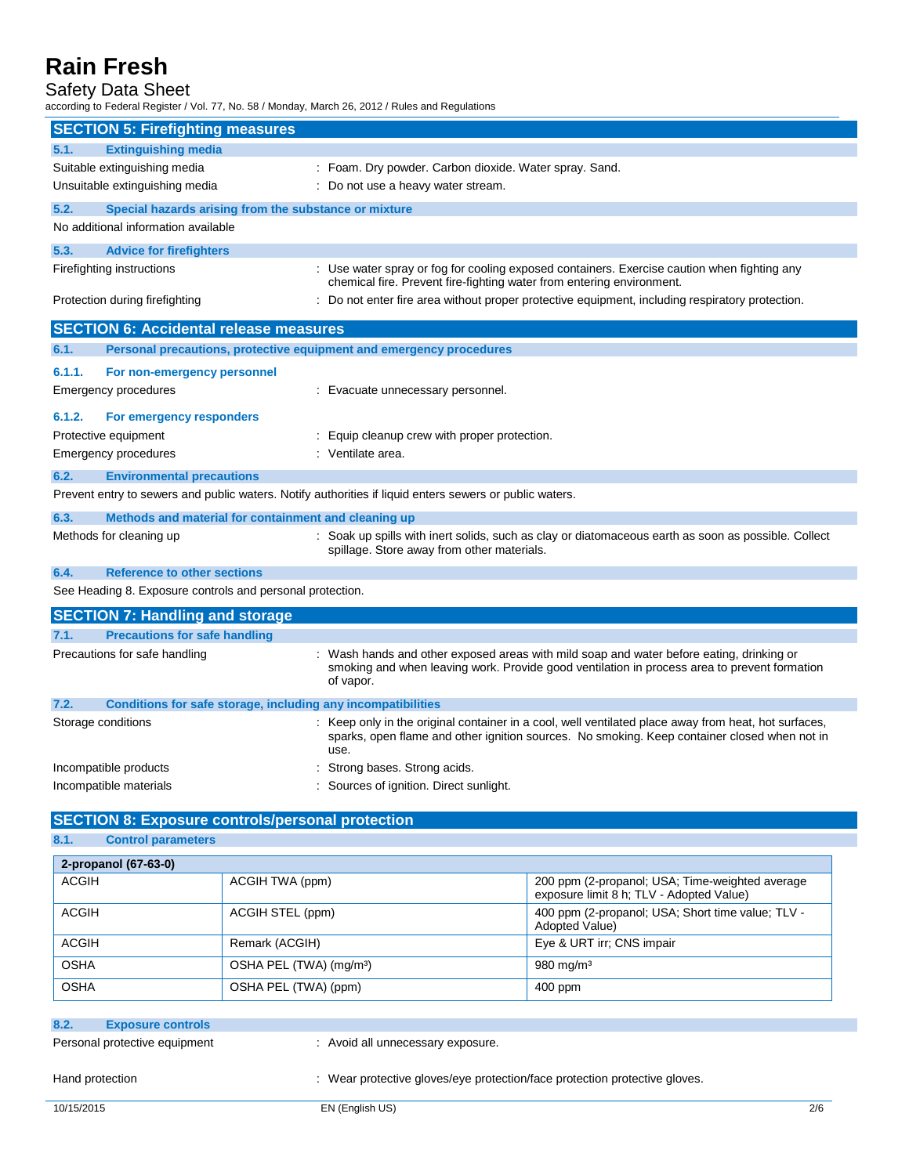### Safety Data Sheet

according to Federal Register / Vol. 77, No. 58 / Monday, March 26, 2012 / Rules and Regulations

|                                                                      | <b>SECTION 5: Firefighting measures</b>                             |                                                                                                                                                                                                              |  |
|----------------------------------------------------------------------|---------------------------------------------------------------------|--------------------------------------------------------------------------------------------------------------------------------------------------------------------------------------------------------------|--|
| 5.1.                                                                 | <b>Extinguishing media</b>                                          |                                                                                                                                                                                                              |  |
|                                                                      | Suitable extinguishing media                                        | : Foam. Dry powder. Carbon dioxide. Water spray. Sand.                                                                                                                                                       |  |
|                                                                      | Unsuitable extinguishing media                                      | : Do not use a heavy water stream.                                                                                                                                                                           |  |
| 5.2.                                                                 | Special hazards arising from the substance or mixture               |                                                                                                                                                                                                              |  |
|                                                                      | No additional information available                                 |                                                                                                                                                                                                              |  |
| 5.3.                                                                 | <b>Advice for firefighters</b>                                      |                                                                                                                                                                                                              |  |
|                                                                      | Firefighting instructions                                           | : Use water spray or fog for cooling exposed containers. Exercise caution when fighting any<br>chemical fire. Prevent fire-fighting water from entering environment.                                         |  |
|                                                                      | Protection during firefighting                                      | : Do not enter fire area without proper protective equipment, including respiratory protection.                                                                                                              |  |
|                                                                      | <b>SECTION 6: Accidental release measures</b>                       |                                                                                                                                                                                                              |  |
| 6.1.                                                                 | Personal precautions, protective equipment and emergency procedures |                                                                                                                                                                                                              |  |
| 6.1.1.                                                               | For non-emergency personnel                                         |                                                                                                                                                                                                              |  |
|                                                                      | Emergency procedures                                                | : Evacuate unnecessary personnel.                                                                                                                                                                            |  |
| 6.1.2.                                                               | For emergency responders                                            |                                                                                                                                                                                                              |  |
| Protective equipment                                                 |                                                                     | : Equip cleanup crew with proper protection.                                                                                                                                                                 |  |
|                                                                      | Emergency procedures                                                | : Ventilate area.                                                                                                                                                                                            |  |
| 6.2.                                                                 | <b>Environmental precautions</b>                                    |                                                                                                                                                                                                              |  |
|                                                                      |                                                                     | Prevent entry to sewers and public waters. Notify authorities if liquid enters sewers or public waters.                                                                                                      |  |
| 6.3.                                                                 | Methods and material for containment and cleaning up                |                                                                                                                                                                                                              |  |
|                                                                      | Methods for cleaning up                                             | : Soak up spills with inert solids, such as clay or diatomaceous earth as soon as possible. Collect<br>spillage. Store away from other materials.                                                            |  |
| 6.4.                                                                 | <b>Reference to other sections</b>                                  |                                                                                                                                                                                                              |  |
|                                                                      | See Heading 8. Exposure controls and personal protection.           |                                                                                                                                                                                                              |  |
|                                                                      | <b>SECTION 7: Handling and storage</b>                              |                                                                                                                                                                                                              |  |
| 7.1.                                                                 | <b>Precautions for safe handling</b>                                |                                                                                                                                                                                                              |  |
|                                                                      | Precautions for safe handling                                       | : Wash hands and other exposed areas with mild soap and water before eating, drinking or<br>smoking and when leaving work. Provide good ventilation in process area to prevent formation<br>of vapor.        |  |
| 7.2.<br>Conditions for safe storage, including any incompatibilities |                                                                     |                                                                                                                                                                                                              |  |
| Storage conditions                                                   |                                                                     | : Keep only in the original container in a cool, well ventilated place away from heat, hot surfaces,<br>sparks, open flame and other ignition sources. No smoking. Keep container closed when not in<br>use. |  |
|                                                                      | Incompatible products                                               | Strong bases. Strong acids.                                                                                                                                                                                  |  |
|                                                                      | Incompatible materials                                              | : Sources of ignition. Direct sunlight.                                                                                                                                                                      |  |
|                                                                      | <b>SECTION 8: Exposure controls/personal protection</b>             |                                                                                                                                                                                                              |  |

**8.1. Control parameters**

| 2-propanol (67-63-0) |                                     |                                                                                             |
|----------------------|-------------------------------------|---------------------------------------------------------------------------------------------|
| <b>ACGIH</b>         | ACGIH TWA (ppm)                     | 200 ppm (2-propanol; USA; Time-weighted average<br>exposure limit 8 h; TLV - Adopted Value) |
| <b>ACGIH</b>         | ACGIH STEL (ppm)                    | 400 ppm (2-propanol; USA; Short time value; TLV -<br>Adopted Value)                         |
| <b>ACGIH</b>         | Remark (ACGIH)                      | Eye & URT irr; CNS impair                                                                   |
| <b>OSHA</b>          | OSHA PEL (TWA) (mg/m <sup>3</sup> ) | 980 mg/m $3$                                                                                |
| <b>OSHA</b>          | OSHA PEL (TWA) (ppm)                | $400$ ppm                                                                                   |

#### **8.2. Exposure controls**

Personal protective equipment : Avoid all unnecessary exposure.

Hand protection : Wear protective gloves/eye protection/face protection protective gloves.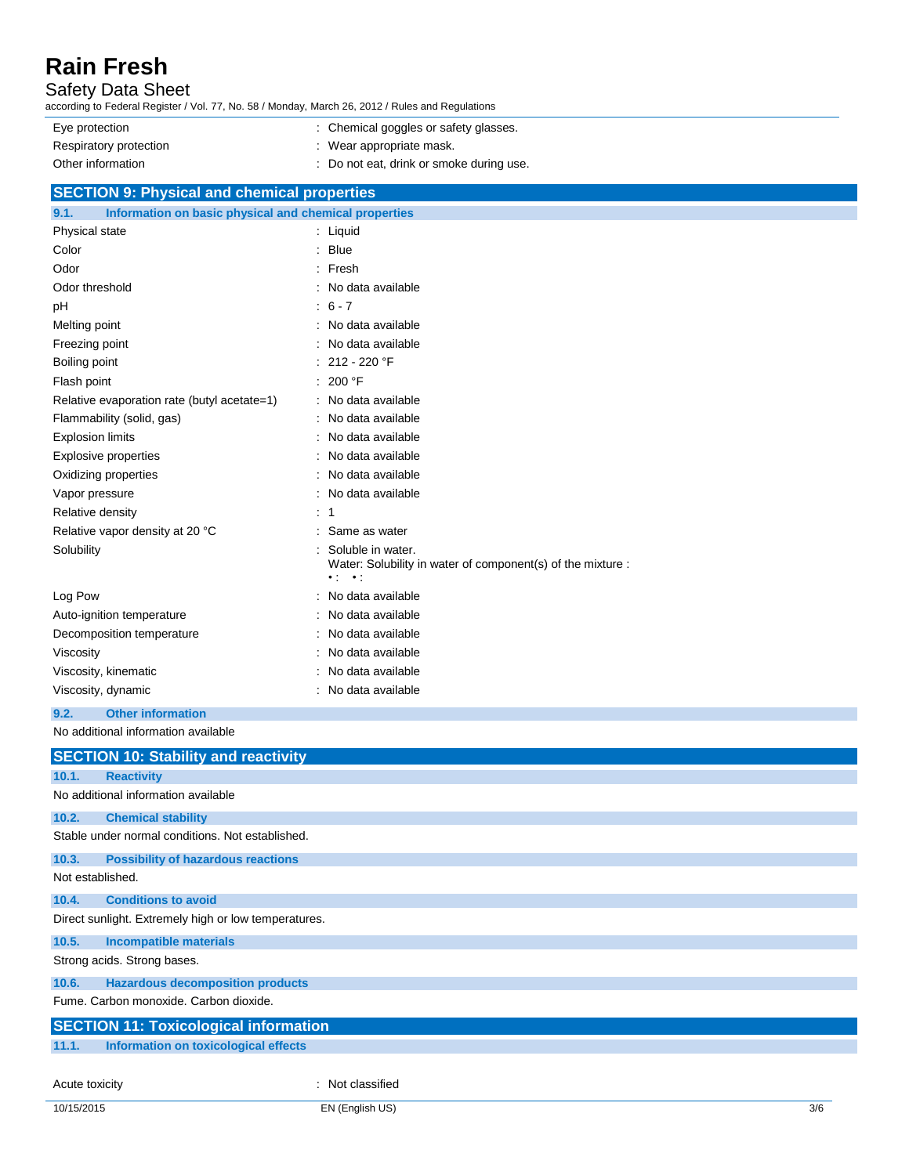### Safety Data Sheet

according to Federal Register / Vol. 77, No. 58 / Monday, March 26, 2012 / Rules and Regulations

| Eye protection                              | : Chemical goggles or safety glasses.    |  |
|---------------------------------------------|------------------------------------------|--|
| Respiratory protection                      | : Wear appropriate mask.                 |  |
| Other information                           | : Do not eat, drink or smoke during use. |  |
| SECTION Q. Physical and chamical properties |                                          |  |

| SECTION 9: Physical and chemical properties                   |                                                                                                             |  |  |  |
|---------------------------------------------------------------|-------------------------------------------------------------------------------------------------------------|--|--|--|
| Information on basic physical and chemical properties<br>9.1. |                                                                                                             |  |  |  |
| Physical state                                                | $:$ Liquid                                                                                                  |  |  |  |
| Color                                                         | $:$ Blue                                                                                                    |  |  |  |
| Odor                                                          | $:$ Fresh                                                                                                   |  |  |  |
| Odor threshold                                                | : No data available                                                                                         |  |  |  |
| pH                                                            | $: 6 - 7$                                                                                                   |  |  |  |
| Melting point                                                 | No data available                                                                                           |  |  |  |
| Freezing point                                                | No data available                                                                                           |  |  |  |
| Boiling point                                                 | $: 212 - 220$ °F                                                                                            |  |  |  |
| Flash point                                                   | 200 °F                                                                                                      |  |  |  |
| Relative evaporation rate (butyl acetate=1)                   | : No data available                                                                                         |  |  |  |
| Flammability (solid, gas)                                     | No data available                                                                                           |  |  |  |
| <b>Explosion limits</b>                                       | No data available                                                                                           |  |  |  |
| <b>Explosive properties</b>                                   | No data available                                                                                           |  |  |  |
| Oxidizing properties                                          | No data available                                                                                           |  |  |  |
| Vapor pressure                                                | No data available                                                                                           |  |  |  |
| Relative density                                              | $\cdot$ 1                                                                                                   |  |  |  |
| Relative vapor density at 20 °C                               | Same as water                                                                                               |  |  |  |
| Solubility                                                    | Soluble in water.<br>Water: Solubility in water of component(s) of the mixture :<br>$\bullet$ . $\bullet$ . |  |  |  |
| Log Pow                                                       | No data available                                                                                           |  |  |  |
| Auto-ignition temperature                                     | No data available                                                                                           |  |  |  |
| Decomposition temperature                                     | No data available                                                                                           |  |  |  |
| Viscosity                                                     | No data available                                                                                           |  |  |  |
| Viscosity, kinematic                                          | No data available                                                                                           |  |  |  |
| Viscosity, dynamic                                            | No data available                                                                                           |  |  |  |
|                                                               |                                                                                                             |  |  |  |

**9.2. Other information** No additional information available

|                  | <b>SECTION 10: Stability and reactivity</b>          |                  |
|------------------|------------------------------------------------------|------------------|
| 10.1.            | <b>Reactivity</b>                                    |                  |
|                  | No additional information available                  |                  |
| 10.2.            | <b>Chemical stability</b>                            |                  |
|                  | Stable under normal conditions. Not established.     |                  |
| 10.3.            | <b>Possibility of hazardous reactions</b>            |                  |
| Not established. |                                                      |                  |
| 10.4.            | <b>Conditions to avoid</b>                           |                  |
|                  | Direct sunlight. Extremely high or low temperatures. |                  |
| 10.5.            | <b>Incompatible materials</b>                        |                  |
|                  | Strong acids. Strong bases.                          |                  |
| 10.6.            | <b>Hazardous decomposition products</b>              |                  |
|                  | Fume, Carbon monoxide, Carbon dioxide.               |                  |
|                  | <b>SECTION 11: Toxicological information</b>         |                  |
| 11.1.            | Information on toxicological effects                 |                  |
|                  |                                                      |                  |
| Acute toxicity   |                                                      | : Not classified |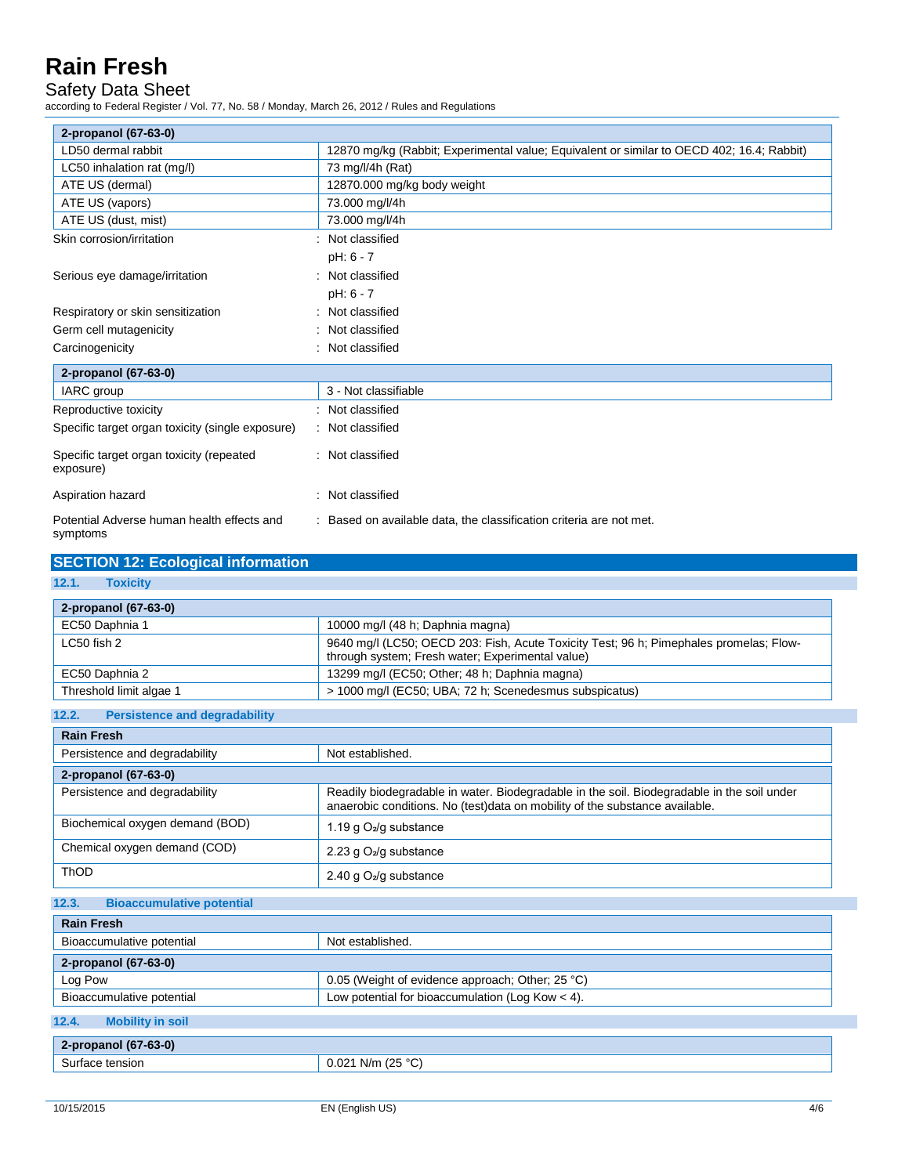### Safety Data Sheet

according to Federal Register / Vol. 77, No. 58 / Monday, March 26, 2012 / Rules and Regulations

| 2-propanol (67-63-0)                                   |                                                                                           |
|--------------------------------------------------------|-------------------------------------------------------------------------------------------|
| LD50 dermal rabbit                                     | 12870 mg/kg (Rabbit; Experimental value; Equivalent or similar to OECD 402; 16.4; Rabbit) |
| LC50 inhalation rat (mg/l)                             | 73 mg/l/4h (Rat)                                                                          |
| ATE US (dermal)                                        | 12870.000 mg/kg body weight                                                               |
| ATE US (vapors)                                        | 73.000 mg/l/4h                                                                            |
| ATE US (dust, mist)                                    | 73.000 mg/l/4h                                                                            |
| Skin corrosion/irritation                              | Not classified                                                                            |
|                                                        | pH: 6 - 7                                                                                 |
| Serious eye damage/irritation                          | Not classified<br>٠                                                                       |
|                                                        | pH: 6 - 7                                                                                 |
| Respiratory or skin sensitization                      | Not classified                                                                            |
| Germ cell mutagenicity                                 | Not classified                                                                            |
| Carcinogenicity                                        | Not classified                                                                            |
| 2-propanol (67-63-0)                                   |                                                                                           |
| IARC group                                             | 3 - Not classifiable                                                                      |
| Reproductive toxicity                                  | : Not classified                                                                          |
| Specific target organ toxicity (single exposure)       | : Not classified                                                                          |
| Specific target organ toxicity (repeated<br>exposure)  | : Not classified                                                                          |
| Aspiration hazard                                      | Not classified<br>٠                                                                       |
| Potential Adverse human health effects and<br>symptoms | Based on available data, the classification criteria are not met.                         |

| <b>SECTION 12: Ecological information</b> |
|-------------------------------------------|
| 12.1. Toxicity                            |

| 2-propanol (67-63-0)                          |                                                                                                                                                                           |
|-----------------------------------------------|---------------------------------------------------------------------------------------------------------------------------------------------------------------------------|
| EC50 Daphnia 1                                | 10000 mg/l (48 h; Daphnia magna)                                                                                                                                          |
| LC50 fish 2                                   | 9640 mg/l (LC50; OECD 203: Fish, Acute Toxicity Test; 96 h; Pimephales promelas; Flow-<br>through system; Fresh water; Experimental value)                                |
| EC50 Daphnia 2                                | 13299 mg/l (EC50; Other; 48 h; Daphnia magna)                                                                                                                             |
| Threshold limit algae 1                       | > 1000 mg/l (EC50; UBA; 72 h; Scenedesmus subspicatus)                                                                                                                    |
| 12.2.<br><b>Persistence and degradability</b> |                                                                                                                                                                           |
| <b>Rain Fresh</b>                             |                                                                                                                                                                           |
| Persistence and degradability                 | Not established.                                                                                                                                                          |
| 2-propanol (67-63-0)                          |                                                                                                                                                                           |
| Persistence and degradability                 | Readily biodegradable in water. Biodegradable in the soil. Biodegradable in the soil under<br>anaerobic conditions. No (test)data on mobility of the substance available. |
| Biochemical oxygen demand (BOD)               | 1.19 g $O_2$ /g substance                                                                                                                                                 |
| Chemical oxygen demand (COD)                  | 2.23 g O <sub>2</sub> /g substance                                                                                                                                        |
| <b>ThOD</b>                                   | 2.40 g $O_2$ /g substance                                                                                                                                                 |

| <b>Bioaccumulative potential</b><br>12.3. |  |
|-------------------------------------------|--|
|-------------------------------------------|--|

| <b>Rain Fresh</b>                |                                                    |  |
|----------------------------------|----------------------------------------------------|--|
| Bioaccumulative potential        | Not established.                                   |  |
| 2-propanol (67-63-0)             |                                                    |  |
| Log Pow                          | 0.05 (Weight of evidence approach; Other; 25 °C)   |  |
| Bioaccumulative potential        | Low potential for bioaccumulation (Log Kow $<$ 4). |  |
| 12.4.<br><b>Mobility in soil</b> |                                                    |  |
| 2-propanol (67-63-0)             |                                                    |  |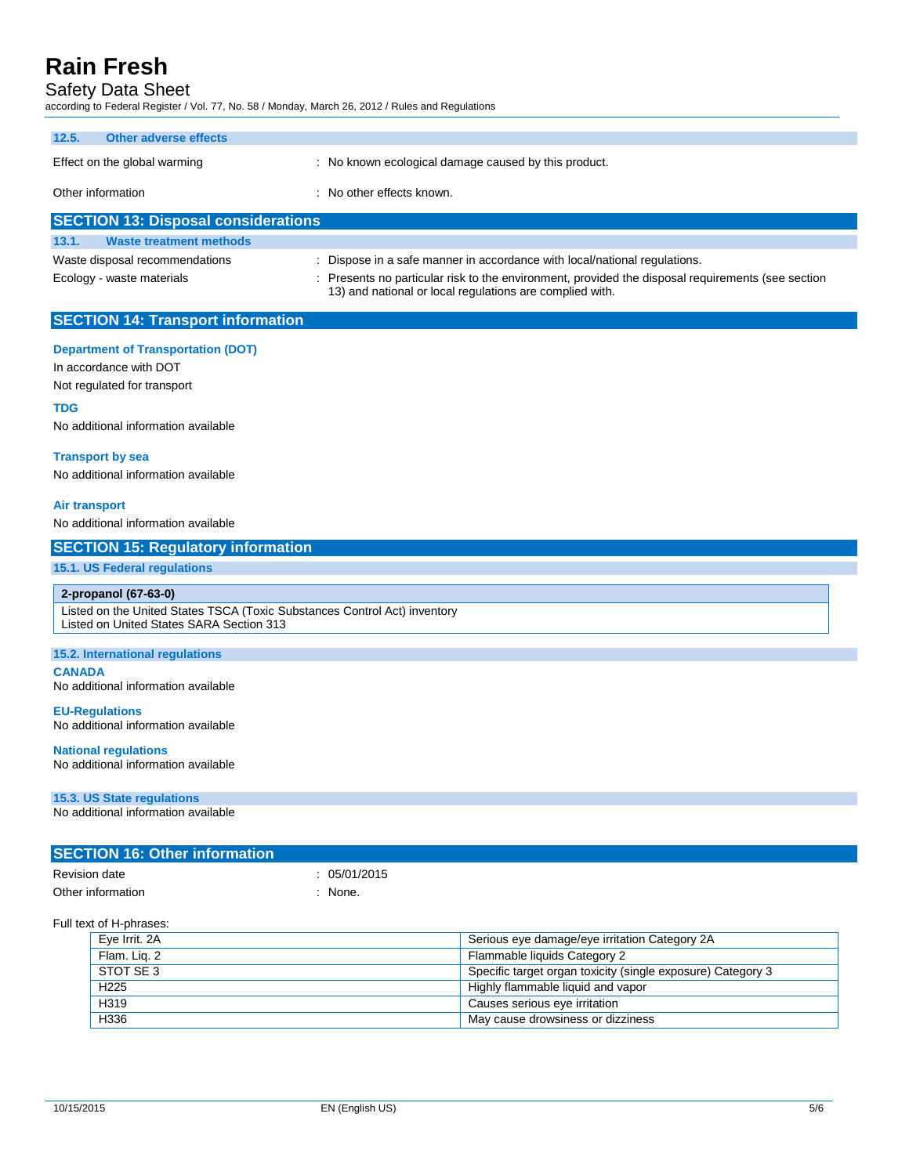Safety Data Sheet

according to Federal Register / Vol. 77, No. 58 / Monday, March 26, 2012 / Rules and Regulations

| 12.5.<br>Other adverse effects                                                                     |                                                                                                                                                                                                                                            |
|----------------------------------------------------------------------------------------------------|--------------------------------------------------------------------------------------------------------------------------------------------------------------------------------------------------------------------------------------------|
| Effect on the global warming                                                                       | : No known ecological damage caused by this product.                                                                                                                                                                                       |
| Other information                                                                                  | : No other effects known.                                                                                                                                                                                                                  |
| <b>SECTION 13: Disposal considerations</b>                                                         |                                                                                                                                                                                                                                            |
| <b>Waste treatment methods</b><br>13.1.                                                            |                                                                                                                                                                                                                                            |
| Waste disposal recommendations<br>Ecology - waste materials                                        | : Dispose in a safe manner in accordance with local/national regulations.<br>: Presents no particular risk to the environment, provided the disposal requirements (see section<br>13) and national or local regulations are complied with. |
| <b>SECTION 14: Transport information</b>                                                           |                                                                                                                                                                                                                                            |
| <b>Department of Transportation (DOT)</b><br>In accordance with DOT<br>Not regulated for transport |                                                                                                                                                                                                                                            |
| <b>TDG</b>                                                                                         |                                                                                                                                                                                                                                            |
| No additional information available                                                                |                                                                                                                                                                                                                                            |

#### **Transport by sea**

No additional information available

#### **Air transport**

No additional information available

#### **SECTION 15: Regulatory information**

#### **15.1. US Federal regulations**

#### **2-propanol (67-63-0)**

Listed on the United States TSCA (Toxic Substances Control Act) inventory Listed on United States SARA Section 313

#### **15.2. International regulations**

**CANADA** No additional information available

#### **EU-Regulations**

No additional information available

#### **National regulations**

No additional information available

#### **15.3. US State regulations**

No additional information available

| <b>SECTION 16: Other information</b> |            |
|--------------------------------------|------------|
| Revision date                        | 05/01/2015 |
| Other information                    | None.      |

### Full text of H-phrases:

| Eve Irrit, 2A    | Serious eye damage/eye irritation Category 2A               |
|------------------|-------------------------------------------------------------|
| Flam. Lig. 2     | Flammable liquids Category 2                                |
| STOT SE 3        | Specific target organ toxicity (single exposure) Category 3 |
| H <sub>225</sub> | Highly flammable liquid and vapor                           |
| H319             | Causes serious eye irritation                               |
| H336             | May cause drowsiness or dizziness                           |